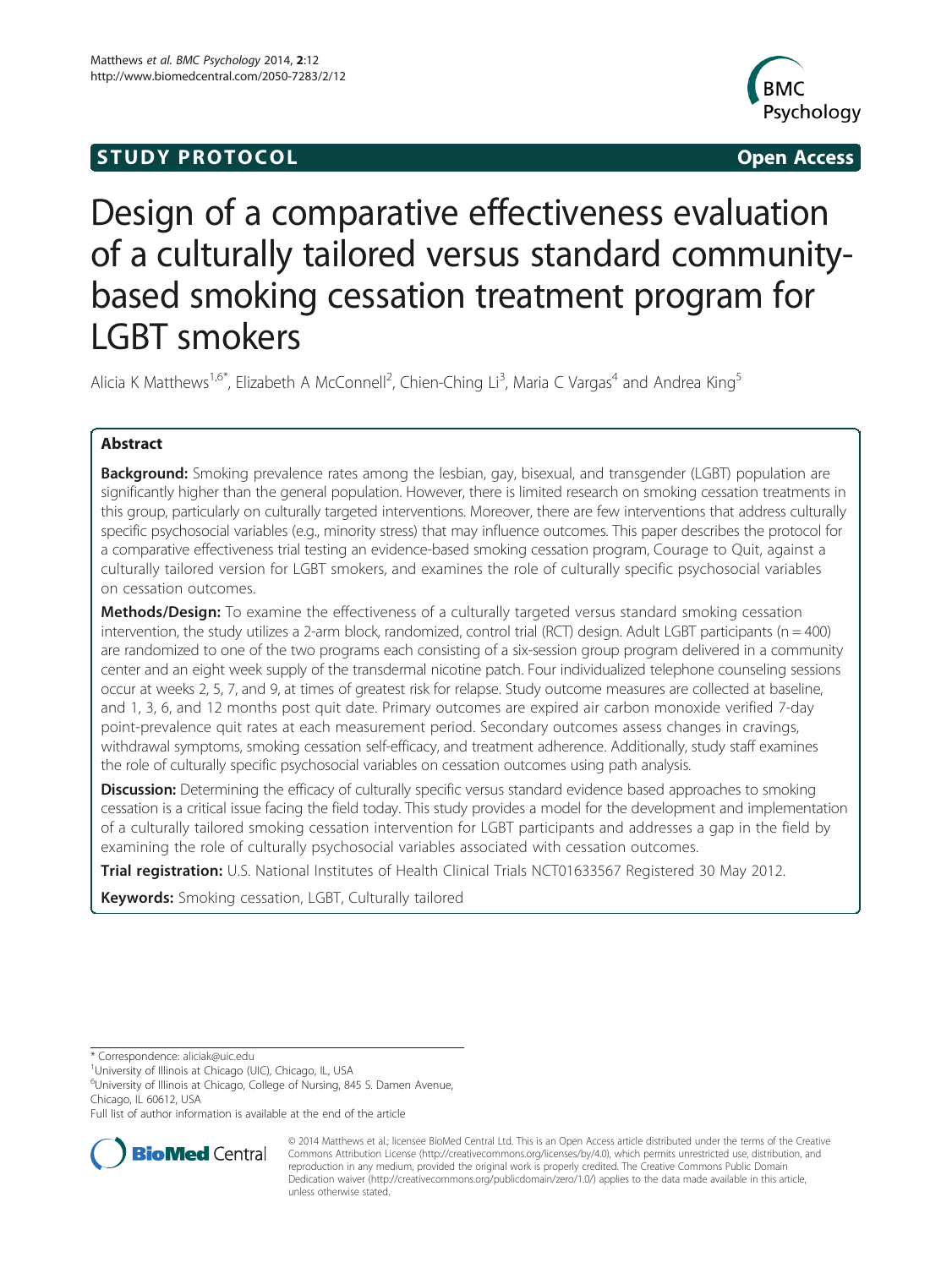# **STUDY PROTOCOL CONSUMING THE STUDY PROTOCOL**



# Design of a comparative effectiveness evaluation of a culturally tailored versus standard communitybased smoking cessation treatment program for LGBT smokers

Alicia K Matthews<sup>1,6\*</sup>, Elizabeth A McConnell<sup>2</sup>, Chien-Ching Li<sup>3</sup>, Maria C Vargas<sup>4</sup> and Andrea King<sup>5</sup>

# Abstract

**Background:** Smoking prevalence rates among the lesbian, gay, bisexual, and transgender (LGBT) population are significantly higher than the general population. However, there is limited research on smoking cessation treatments in this group, particularly on culturally targeted interventions. Moreover, there are few interventions that address culturally specific psychosocial variables (e.g., minority stress) that may influence outcomes. This paper describes the protocol for a comparative effectiveness trial testing an evidence-based smoking cessation program, Courage to Quit, against a culturally tailored version for LGBT smokers, and examines the role of culturally specific psychosocial variables on cessation outcomes.

**Methods/Design:** To examine the effectiveness of a culturally targeted versus standard smoking cessation intervention, the study utilizes a 2-arm block, randomized, control trial (RCT) design. Adult LGBT participants ( $n = 400$ ) are randomized to one of the two programs each consisting of a six-session group program delivered in a community center and an eight week supply of the transdermal nicotine patch. Four individualized telephone counseling sessions occur at weeks 2, 5, 7, and 9, at times of greatest risk for relapse. Study outcome measures are collected at baseline, and 1, 3, 6, and 12 months post quit date. Primary outcomes are expired air carbon monoxide verified 7-day point-prevalence quit rates at each measurement period. Secondary outcomes assess changes in cravings, withdrawal symptoms, smoking cessation self-efficacy, and treatment adherence. Additionally, study staff examines the role of culturally specific psychosocial variables on cessation outcomes using path analysis.

Discussion: Determining the efficacy of culturally specific versus standard evidence based approaches to smoking cessation is a critical issue facing the field today. This study provides a model for the development and implementation of a culturally tailored smoking cessation intervention for LGBT participants and addresses a gap in the field by examining the role of culturally psychosocial variables associated with cessation outcomes.

Trial registration: U.S. National Institutes of Health Clinical Trials [NCT01633567](https://clinicaltrials.gov/ct2/show/NCT01633567) Registered 30 May 2012.

Keywords: Smoking cessation, LGBT, Culturally tailored

\* Correspondence: [aliciak@uic.edu](mailto:aliciak@uic.edu) <sup>1</sup>

<sup>6</sup>University of Illinois at Chicago, College of Nursing, 845 S. Damen Avenue, Chicago, IL 60612, USA

Full list of author information is available at the end of the article



© 2014 Matthews et al.; licensee BioMed Central Ltd. This is an Open Access article distributed under the terms of the Creative Commons Attribution License [\(http://creativecommons.org/licenses/by/4.0\)](http://creativecommons.org/licenses/by/4.0), which permits unrestricted use, distribution, and reproduction in any medium, provided the original work is properly credited. The Creative Commons Public Domain Dedication waiver [\(http://creativecommons.org/publicdomain/zero/1.0/](http://creativecommons.org/publicdomain/zero/1.0/)) applies to the data made available in this article, unless otherwise stated.

<sup>&</sup>lt;sup>1</sup>University of Illinois at Chicago (UIC), Chicago, IL, USA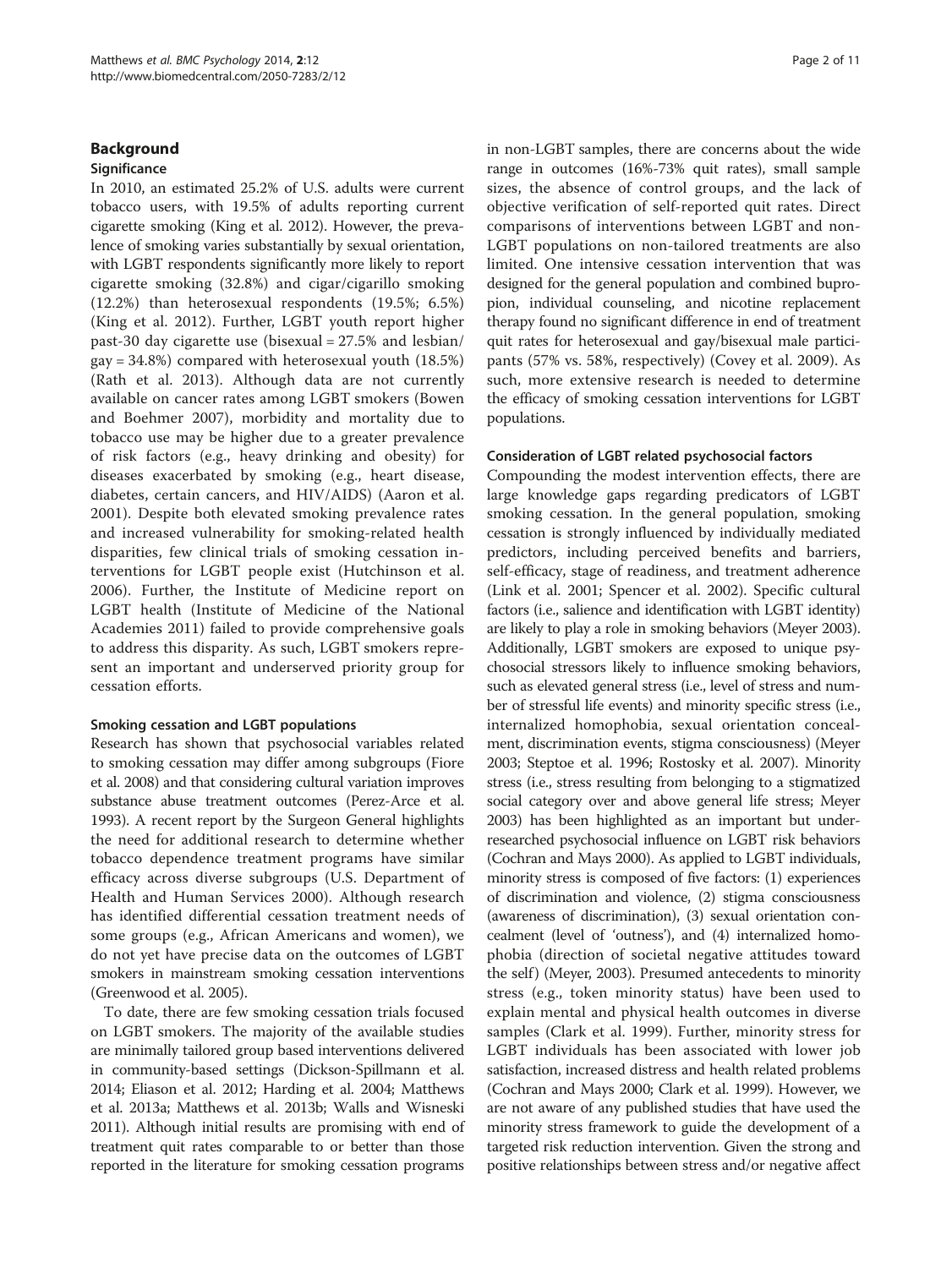# **Background**

# **Significance**

In 2010, an estimated 25.2% of U.S. adults were current tobacco users, with 19.5% of adults reporting current cigarette smoking (King et al. [2012\)](#page-9-0). However, the prevalence of smoking varies substantially by sexual orientation, with LGBT respondents significantly more likely to report cigarette smoking (32.8%) and cigar/cigarillo smoking (12.2%) than heterosexual respondents (19.5%; 6.5%) (King et al. [2012](#page-9-0)). Further, LGBT youth report higher past-30 day cigarette use (bisexual = 27.5% and lesbian/ gay = 34.8%) compared with heterosexual youth (18.5%) (Rath et al. [2013](#page-9-0)). Although data are not currently available on cancer rates among LGBT smokers (Bowen and Boehmer [2007](#page-8-0)), morbidity and mortality due to tobacco use may be higher due to a greater prevalence of risk factors (e.g., heavy drinking and obesity) for diseases exacerbated by smoking (e.g., heart disease, diabetes, certain cancers, and HIV/AIDS) (Aaron et al. [2001\)](#page-8-0). Despite both elevated smoking prevalence rates and increased vulnerability for smoking-related health disparities, few clinical trials of smoking cessation interventions for LGBT people exist (Hutchinson et al. [2006\)](#page-9-0). Further, the Institute of Medicine report on LGBT health (Institute of Medicine of the National Academies [2011\)](#page-9-0) failed to provide comprehensive goals to address this disparity. As such, LGBT smokers represent an important and underserved priority group for cessation efforts.

# Smoking cessation and LGBT populations

Research has shown that psychosocial variables related to smoking cessation may differ among subgroups (Fiore et al. [2008\)](#page-9-0) and that considering cultural variation improves substance abuse treatment outcomes (Perez-Arce et al. [1993\)](#page-9-0). A recent report by the Surgeon General highlights the need for additional research to determine whether tobacco dependence treatment programs have similar efficacy across diverse subgroups (U.S. Department of Health and Human Services [2000](#page-10-0)). Although research has identified differential cessation treatment needs of some groups (e.g., African Americans and women), we do not yet have precise data on the outcomes of LGBT smokers in mainstream smoking cessation interventions (Greenwood et al. [2005\)](#page-9-0).

To date, there are few smoking cessation trials focused on LGBT smokers. The majority of the available studies are minimally tailored group based interventions delivered in community-based settings (Dickson-Spillmann et al. [2014;](#page-9-0) Eliason et al. [2012](#page-9-0); Harding et al. [2004;](#page-9-0) Matthews et al. [2013a](#page-9-0); Matthews et al. [2013b](#page-9-0); Walls and Wisneski [2011\)](#page-10-0). Although initial results are promising with end of treatment quit rates comparable to or better than those reported in the literature for smoking cessation programs in non-LGBT samples, there are concerns about the wide range in outcomes (16%-73% quit rates), small sample sizes, the absence of control groups, and the lack of objective verification of self-reported quit rates. Direct comparisons of interventions between LGBT and non-LGBT populations on non-tailored treatments are also limited. One intensive cessation intervention that was designed for the general population and combined bupropion, individual counseling, and nicotine replacement therapy found no significant difference in end of treatment quit rates for heterosexual and gay/bisexual male participants (57% vs. 58%, respectively) (Covey et al. [2009](#page-9-0)). As such, more extensive research is needed to determine the efficacy of smoking cessation interventions for LGBT populations.

#### Consideration of LGBT related psychosocial factors

Compounding the modest intervention effects, there are large knowledge gaps regarding predicators of LGBT smoking cessation. In the general population, smoking cessation is strongly influenced by individually mediated predictors, including perceived benefits and barriers, self-efficacy, stage of readiness, and treatment adherence (Link et al. [2001;](#page-9-0) Spencer et al. [2002](#page-10-0)). Specific cultural factors (i.e., salience and identification with LGBT identity) are likely to play a role in smoking behaviors (Meyer [2003](#page-9-0)). Additionally, LGBT smokers are exposed to unique psychosocial stressors likely to influence smoking behaviors, such as elevated general stress (i.e., level of stress and number of stressful life events) and minority specific stress (i.e., internalized homophobia, sexual orientation concealment, discrimination events, stigma consciousness) (Meyer [2003;](#page-9-0) Steptoe et al. [1996](#page-10-0); Rostosky et al. [2007\)](#page-9-0). Minority stress (i.e., stress resulting from belonging to a stigmatized social category over and above general life stress; Meyer [2003\)](#page-9-0) has been highlighted as an important but underresearched psychosocial influence on LGBT risk behaviors (Cochran and Mays [2000](#page-9-0)). As applied to LGBT individuals, minority stress is composed of five factors: (1) experiences of discrimination and violence, (2) stigma consciousness (awareness of discrimination), (3) sexual orientation concealment (level of 'outness'), and (4) internalized homophobia (direction of societal negative attitudes toward the self) (Meyer, [2003](#page-9-0)). Presumed antecedents to minority stress (e.g., token minority status) have been used to explain mental and physical health outcomes in diverse samples (Clark et al. [1999](#page-9-0)). Further, minority stress for LGBT individuals has been associated with lower job satisfaction, increased distress and health related problems (Cochran and Mays [2000;](#page-9-0) Clark et al. [1999\)](#page-9-0). However, we are not aware of any published studies that have used the minority stress framework to guide the development of a targeted risk reduction intervention. Given the strong and positive relationships between stress and/or negative affect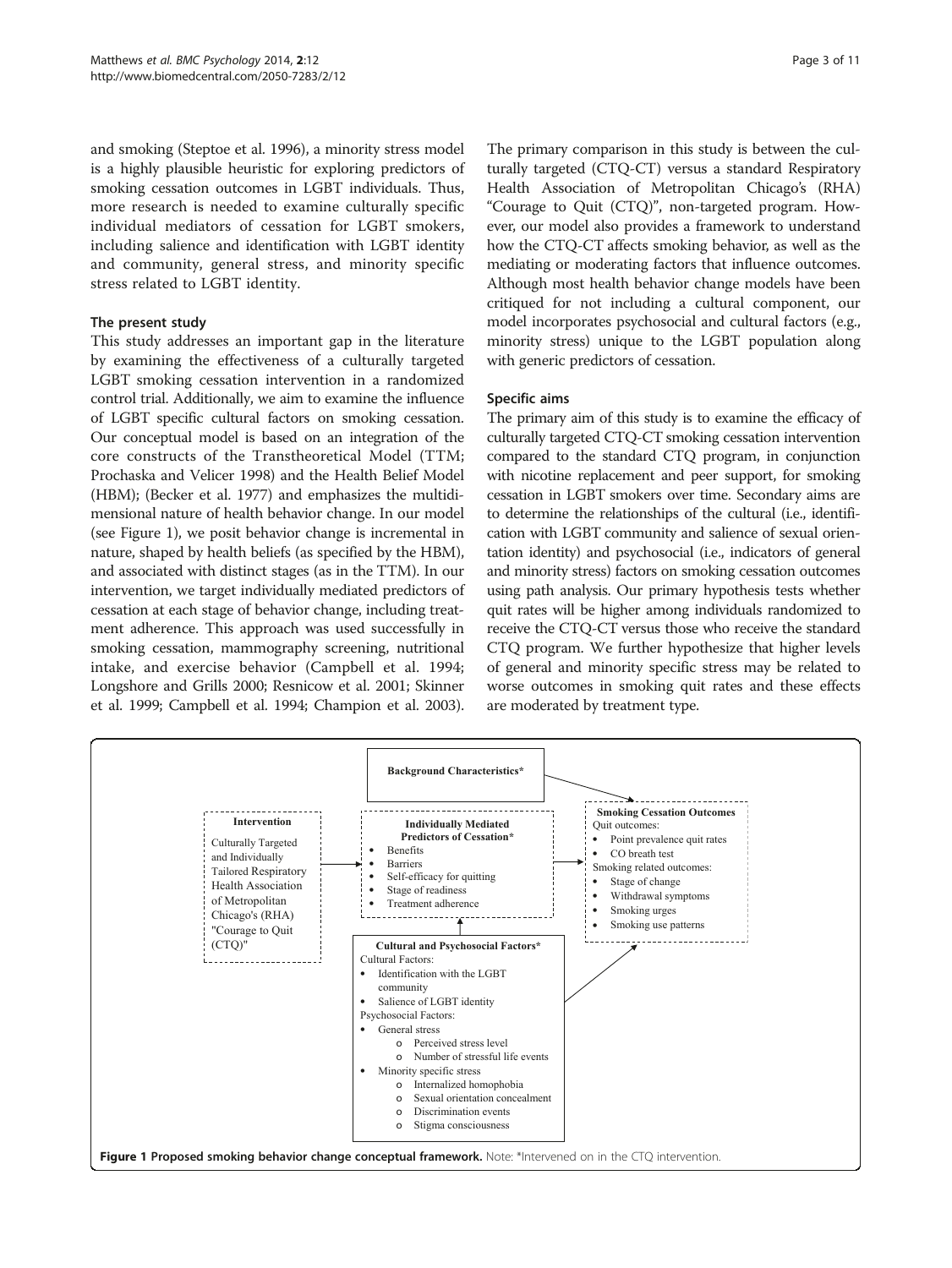<span id="page-2-0"></span>and smoking (Steptoe et al. [1996](#page-10-0)), a minority stress model is a highly plausible heuristic for exploring predictors of smoking cessation outcomes in LGBT individuals. Thus, more research is needed to examine culturally specific individual mediators of cessation for LGBT smokers, including salience and identification with LGBT identity and community, general stress, and minority specific stress related to LGBT identity.

#### The present study

This study addresses an important gap in the literature by examining the effectiveness of a culturally targeted LGBT smoking cessation intervention in a randomized control trial. Additionally, we aim to examine the influence of LGBT specific cultural factors on smoking cessation. Our conceptual model is based on an integration of the core constructs of the Transtheoretical Model (TTM; Prochaska and Velicer [1998](#page-9-0)) and the Health Belief Model (HBM); (Becker et al. [1977](#page-8-0)) and emphasizes the multidimensional nature of health behavior change. In our model (see Figure 1), we posit behavior change is incremental in nature, shaped by health beliefs (as specified by the HBM), and associated with distinct stages (as in the TTM). In our intervention, we target individually mediated predictors of cessation at each stage of behavior change, including treatment adherence. This approach was used successfully in smoking cessation, mammography screening, nutritional intake, and exercise behavior (Campbell et al. [1994](#page-9-0); Longshore and Grills [2000](#page-9-0); Resnicow et al. [2001](#page-9-0); Skinner et al. [1999;](#page-9-0) Campbell et al. [1994;](#page-9-0) Champion et al. [2003](#page-9-0)).

The primary comparison in this study is between the culturally targeted (CTQ-CT) versus a standard Respiratory Health Association of Metropolitan Chicago's (RHA) "Courage to Quit (CTQ)", non-targeted program. However, our model also provides a framework to understand how the CTQ-CT affects smoking behavior, as well as the mediating or moderating factors that influence outcomes. Although most health behavior change models have been critiqued for not including a cultural component, our model incorporates psychosocial and cultural factors (e.g., minority stress) unique to the LGBT population along with generic predictors of cessation.

#### Specific aims

The primary aim of this study is to examine the efficacy of culturally targeted CTQ-CT smoking cessation intervention compared to the standard CTQ program, in conjunction with nicotine replacement and peer support, for smoking cessation in LGBT smokers over time. Secondary aims are to determine the relationships of the cultural (i.e., identification with LGBT community and salience of sexual orientation identity) and psychosocial (i.e., indicators of general and minority stress) factors on smoking cessation outcomes using path analysis. Our primary hypothesis tests whether quit rates will be higher among individuals randomized to receive the CTQ-CT versus those who receive the standard CTQ program. We further hypothesize that higher levels of general and minority specific stress may be related to worse outcomes in smoking quit rates and these effects are moderated by treatment type.

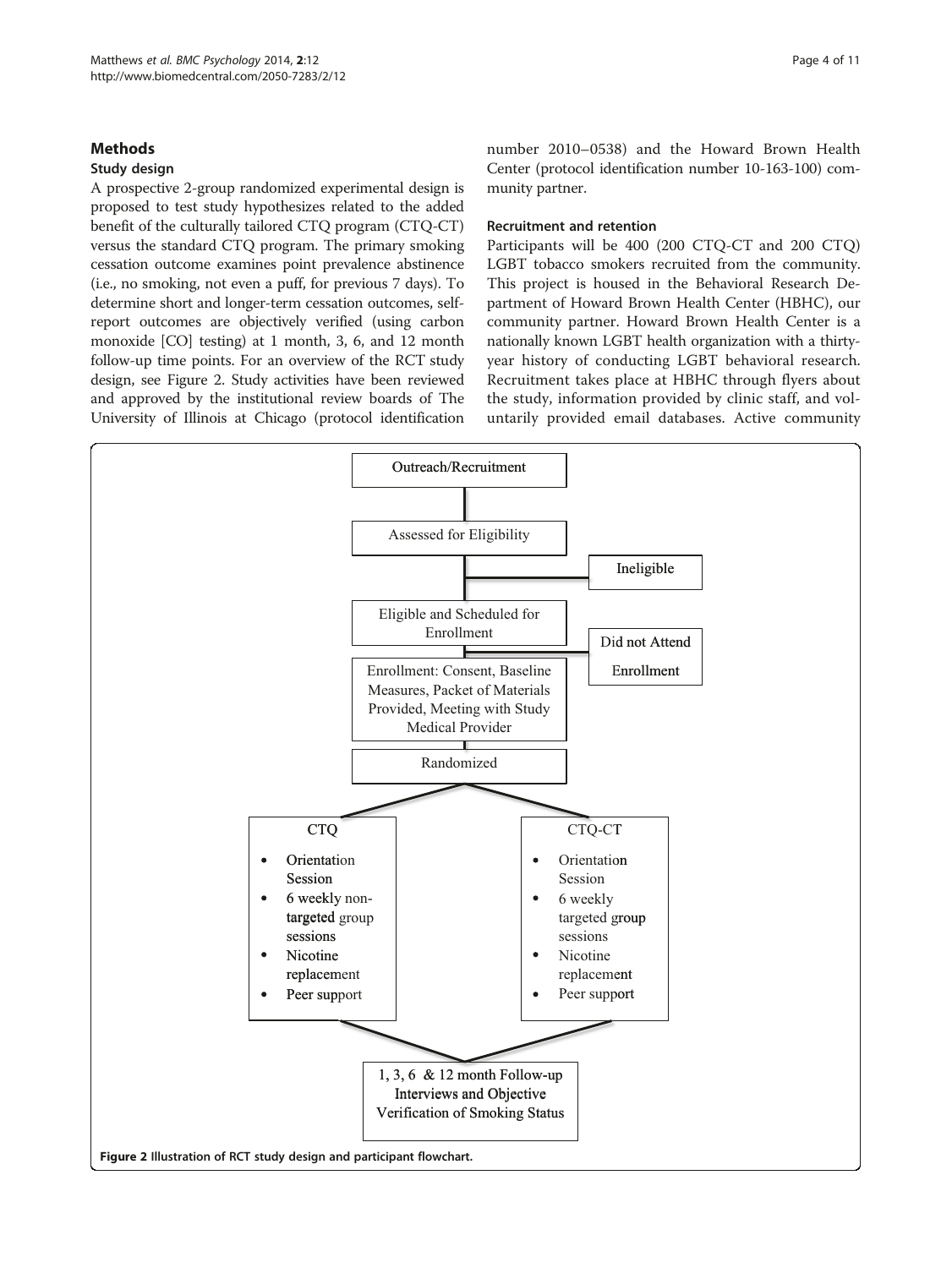# **Methods**

#### Study design

A prospective 2-group randomized experimental design is proposed to test study hypothesizes related to the added benefit of the culturally tailored CTQ program (CTQ-CT) versus the standard CTQ program. The primary smoking cessation outcome examines point prevalence abstinence (i.e., no smoking, not even a puff, for previous 7 days). To determine short and longer-term cessation outcomes, selfreport outcomes are objectively verified (using carbon monoxide [CO] testing) at 1 month, 3, 6, and 12 month follow-up time points. For an overview of the RCT study design, see Figure 2. Study activities have been reviewed and approved by the institutional review boards of The University of Illinois at Chicago (protocol identification number 2010–0538) and the Howard Brown Health Center (protocol identification number 10-163-100) community partner.

#### Recruitment and retention

Participants will be 400 (200 CTQ-CT and 200 CTQ) LGBT tobacco smokers recruited from the community. This project is housed in the Behavioral Research Department of Howard Brown Health Center (HBHC), our community partner. Howard Brown Health Center is a nationally known LGBT health organization with a thirtyyear history of conducting LGBT behavioral research. Recruitment takes place at HBHC through flyers about the study, information provided by clinic staff, and voluntarily provided email databases. Active community

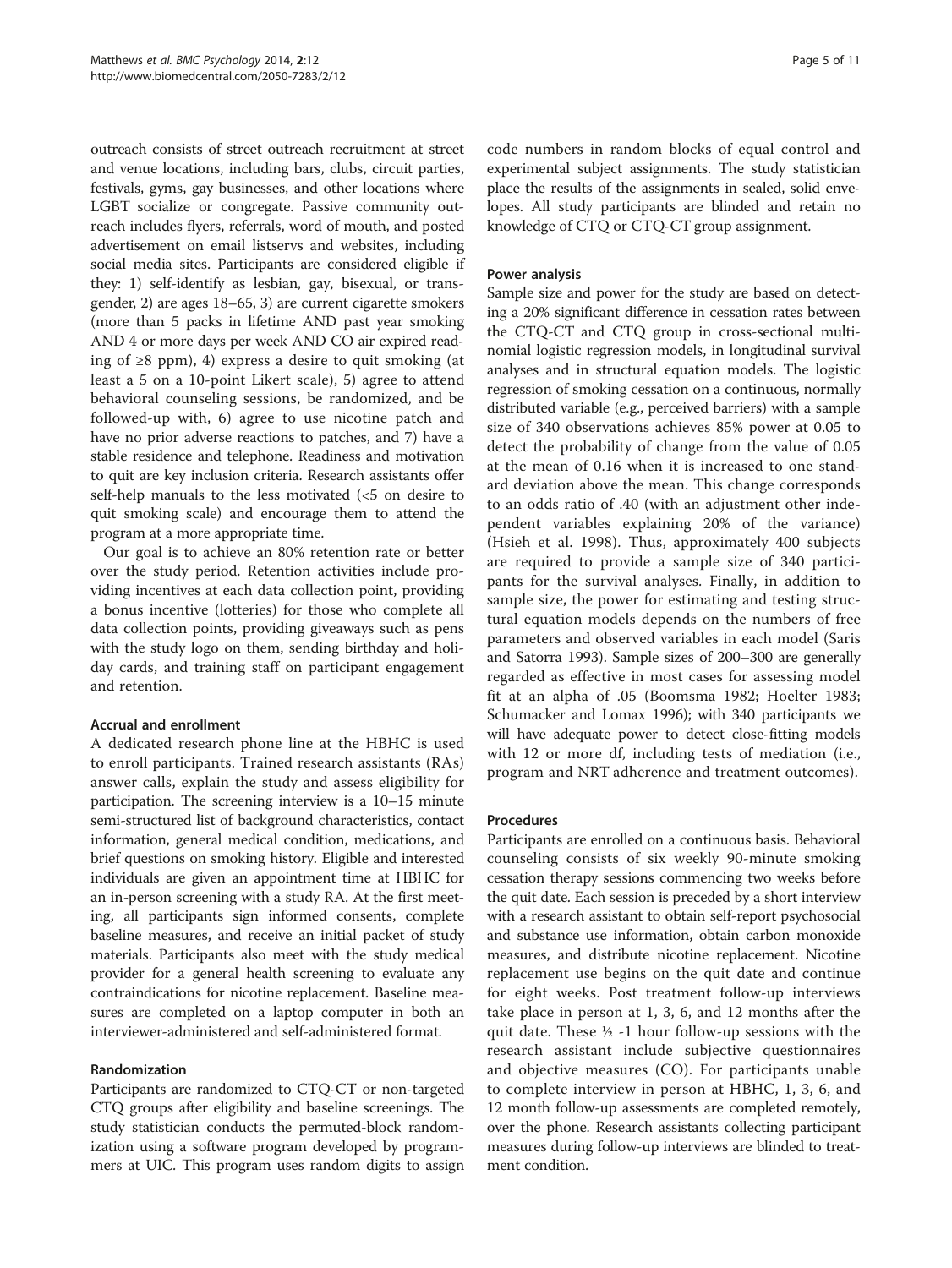outreach consists of street outreach recruitment at street and venue locations, including bars, clubs, circuit parties, festivals, gyms, gay businesses, and other locations where LGBT socialize or congregate. Passive community outreach includes flyers, referrals, word of mouth, and posted advertisement on email listservs and websites, including social media sites. Participants are considered eligible if they: 1) self-identify as lesbian, gay, bisexual, or transgender, 2) are ages 18–65, 3) are current cigarette smokers (more than 5 packs in lifetime AND past year smoking AND 4 or more days per week AND CO air expired reading of ≥8 ppm), 4) express a desire to quit smoking (at least a 5 on a 10-point Likert scale), 5) agree to attend behavioral counseling sessions, be randomized, and be followed-up with, 6) agree to use nicotine patch and have no prior adverse reactions to patches, and 7) have a stable residence and telephone. Readiness and motivation to quit are key inclusion criteria. Research assistants offer self-help manuals to the less motivated (<5 on desire to quit smoking scale) and encourage them to attend the program at a more appropriate time.

Our goal is to achieve an 80% retention rate or better over the study period. Retention activities include providing incentives at each data collection point, providing a bonus incentive (lotteries) for those who complete all data collection points, providing giveaways such as pens with the study logo on them, sending birthday and holiday cards, and training staff on participant engagement and retention.

# Accrual and enrollment

A dedicated research phone line at the HBHC is used to enroll participants. Trained research assistants (RAs) answer calls, explain the study and assess eligibility for participation. The screening interview is a 10–15 minute semi-structured list of background characteristics, contact information, general medical condition, medications, and brief questions on smoking history. Eligible and interested individuals are given an appointment time at HBHC for an in-person screening with a study RA. At the first meeting, all participants sign informed consents, complete baseline measures, and receive an initial packet of study materials. Participants also meet with the study medical provider for a general health screening to evaluate any contraindications for nicotine replacement. Baseline measures are completed on a laptop computer in both an interviewer-administered and self-administered format.

# Randomization

Participants are randomized to CTQ-CT or non-targeted CTQ groups after eligibility and baseline screenings. The study statistician conducts the permuted-block randomization using a software program developed by programmers at UIC. This program uses random digits to assign code numbers in random blocks of equal control and experimental subject assignments. The study statistician place the results of the assignments in sealed, solid envelopes. All study participants are blinded and retain no knowledge of CTQ or CTQ-CT group assignment.

#### Power analysis

Sample size and power for the study are based on detecting a 20% significant difference in cessation rates between the CTQ-CT and CTQ group in cross-sectional multinomial logistic regression models, in longitudinal survival analyses and in structural equation models. The logistic regression of smoking cessation on a continuous, normally distributed variable (e.g., perceived barriers) with a sample size of 340 observations achieves 85% power at 0.05 to detect the probability of change from the value of 0.05 at the mean of 0.16 when it is increased to one standard deviation above the mean. This change corresponds to an odds ratio of .40 (with an adjustment other independent variables explaining 20% of the variance) (Hsieh et al. [1998](#page-9-0)). Thus, approximately 400 subjects are required to provide a sample size of 340 participants for the survival analyses. Finally, in addition to sample size, the power for estimating and testing structural equation models depends on the numbers of free parameters and observed variables in each model (Saris and Satorra [1993\)](#page-9-0). Sample sizes of 200–300 are generally regarded as effective in most cases for assessing model fit at an alpha of .05 (Boomsma [1982;](#page-8-0) Hoelter [1983](#page-9-0); Schumacker and Lomax [1996](#page-9-0)); with 340 participants we will have adequate power to detect close-fitting models with 12 or more df, including tests of mediation (i.e., program and NRT adherence and treatment outcomes).

# Procedures

Participants are enrolled on a continuous basis. Behavioral counseling consists of six weekly 90-minute smoking cessation therapy sessions commencing two weeks before the quit date. Each session is preceded by a short interview with a research assistant to obtain self-report psychosocial and substance use information, obtain carbon monoxide measures, and distribute nicotine replacement. Nicotine replacement use begins on the quit date and continue for eight weeks. Post treatment follow-up interviews take place in person at 1, 3, 6, and 12 months after the quit date. These ½ -1 hour follow-up sessions with the research assistant include subjective questionnaires and objective measures (CO). For participants unable to complete interview in person at HBHC, 1, 3, 6, and 12 month follow-up assessments are completed remotely, over the phone. Research assistants collecting participant measures during follow-up interviews are blinded to treatment condition.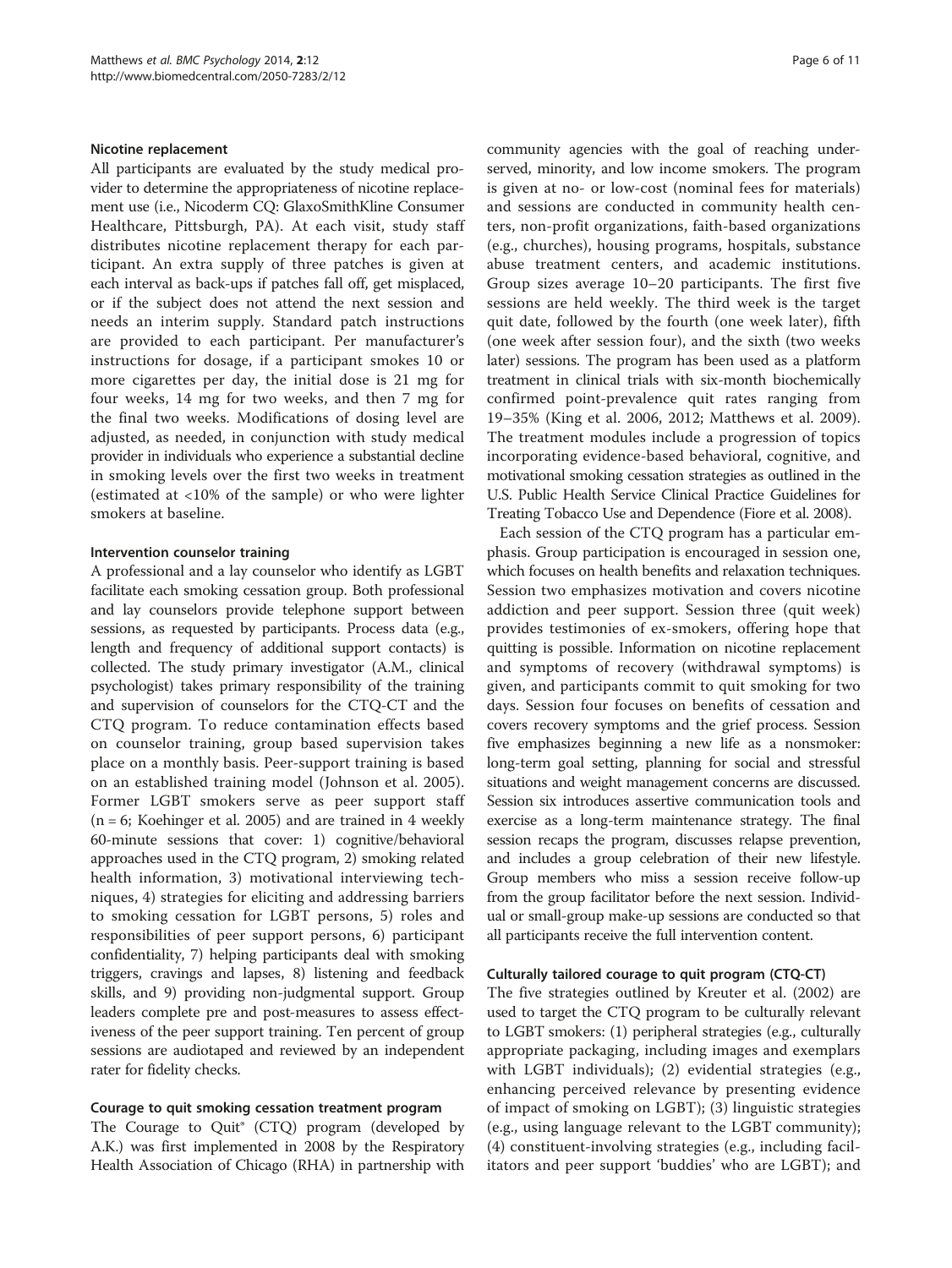#### Nicotine replacement

All participants are evaluated by the study medical provider to determine the appropriateness of nicotine replacement use (i.e., Nicoderm CQ: GlaxoSmithKline Consumer Healthcare, Pittsburgh, PA). At each visit, study staff distributes nicotine replacement therapy for each participant. An extra supply of three patches is given at each interval as back-ups if patches fall off, get misplaced, or if the subject does not attend the next session and needs an interim supply. Standard patch instructions are provided to each participant. Per manufacturer's instructions for dosage, if a participant smokes 10 or more cigarettes per day, the initial dose is 21 mg for four weeks, 14 mg for two weeks, and then 7 mg for the final two weeks. Modifications of dosing level are adjusted, as needed, in conjunction with study medical provider in individuals who experience a substantial decline in smoking levels over the first two weeks in treatment (estimated at <10% of the sample) or who were lighter smokers at baseline.

#### Intervention counselor training

A professional and a lay counselor who identify as LGBT facilitate each smoking cessation group. Both professional and lay counselors provide telephone support between sessions, as requested by participants. Process data (e.g., length and frequency of additional support contacts) is collected. The study primary investigator (A.M., clinical psychologist) takes primary responsibility of the training and supervision of counselors for the CTQ-CT and the CTQ program. To reduce contamination effects based on counselor training, group based supervision takes place on a monthly basis. Peer-support training is based on an established training model (Johnson et al. [2005](#page-9-0)). Former LGBT smokers serve as peer support staff  $(n = 6;$  Koehinger et al. [2005\)](#page-9-0) and are trained in 4 weekly 60-minute sessions that cover: 1) cognitive/behavioral approaches used in the CTQ program, 2) smoking related health information, 3) motivational interviewing techniques, 4) strategies for eliciting and addressing barriers to smoking cessation for LGBT persons, 5) roles and responsibilities of peer support persons, 6) participant confidentiality, 7) helping participants deal with smoking triggers, cravings and lapses, 8) listening and feedback skills, and 9) providing non-judgmental support. Group leaders complete pre and post-measures to assess effectiveness of the peer support training. Ten percent of group sessions are audiotaped and reviewed by an independent rater for fidelity checks.

#### Courage to quit smoking cessation treatment program

The Courage to Quit® (CTQ) program (developed by A.K.) was first implemented in 2008 by the Respiratory Health Association of Chicago (RHA) in partnership with

community agencies with the goal of reaching underserved, minority, and low income smokers. The program is given at no- or low-cost (nominal fees for materials) and sessions are conducted in community health centers, non-profit organizations, faith-based organizations (e.g., churches), housing programs, hospitals, substance abuse treatment centers, and academic institutions. Group sizes average 10–20 participants. The first five sessions are held weekly. The third week is the target quit date, followed by the fourth (one week later), fifth (one week after session four), and the sixth (two weeks later) sessions. The program has been used as a platform treatment in clinical trials with six-month biochemically confirmed point-prevalence quit rates ranging from 19–35% (King et al. [2006](#page-9-0), [2012](#page-9-0); Matthews et al. [2009](#page-9-0)). The treatment modules include a progression of topics incorporating evidence-based behavioral, cognitive, and motivational smoking cessation strategies as outlined in the U.S. Public Health Service Clinical Practice Guidelines for Treating Tobacco Use and Dependence (Fiore et al. [2008\)](#page-9-0).

Each session of the CTQ program has a particular emphasis. Group participation is encouraged in session one, which focuses on health benefits and relaxation techniques. Session two emphasizes motivation and covers nicotine addiction and peer support. Session three (quit week) provides testimonies of ex-smokers, offering hope that quitting is possible. Information on nicotine replacement and symptoms of recovery (withdrawal symptoms) is given, and participants commit to quit smoking for two days. Session four focuses on benefits of cessation and covers recovery symptoms and the grief process. Session five emphasizes beginning a new life as a nonsmoker: long-term goal setting, planning for social and stressful situations and weight management concerns are discussed. Session six introduces assertive communication tools and exercise as a long-term maintenance strategy. The final session recaps the program, discusses relapse prevention, and includes a group celebration of their new lifestyle. Group members who miss a session receive follow-up from the group facilitator before the next session. Individual or small-group make-up sessions are conducted so that all participants receive the full intervention content.

#### Culturally tailored courage to quit program (CTQ-CT)

The five strategies outlined by Kreuter et al. [\(2002\)](#page-9-0) are used to target the CTQ program to be culturally relevant to LGBT smokers: (1) peripheral strategies (e.g., culturally appropriate packaging, including images and exemplars with LGBT individuals); (2) evidential strategies (e.g., enhancing perceived relevance by presenting evidence of impact of smoking on LGBT); (3) linguistic strategies (e.g., using language relevant to the LGBT community); (4) constituent-involving strategies (e.g., including facilitators and peer support 'buddies' who are LGBT); and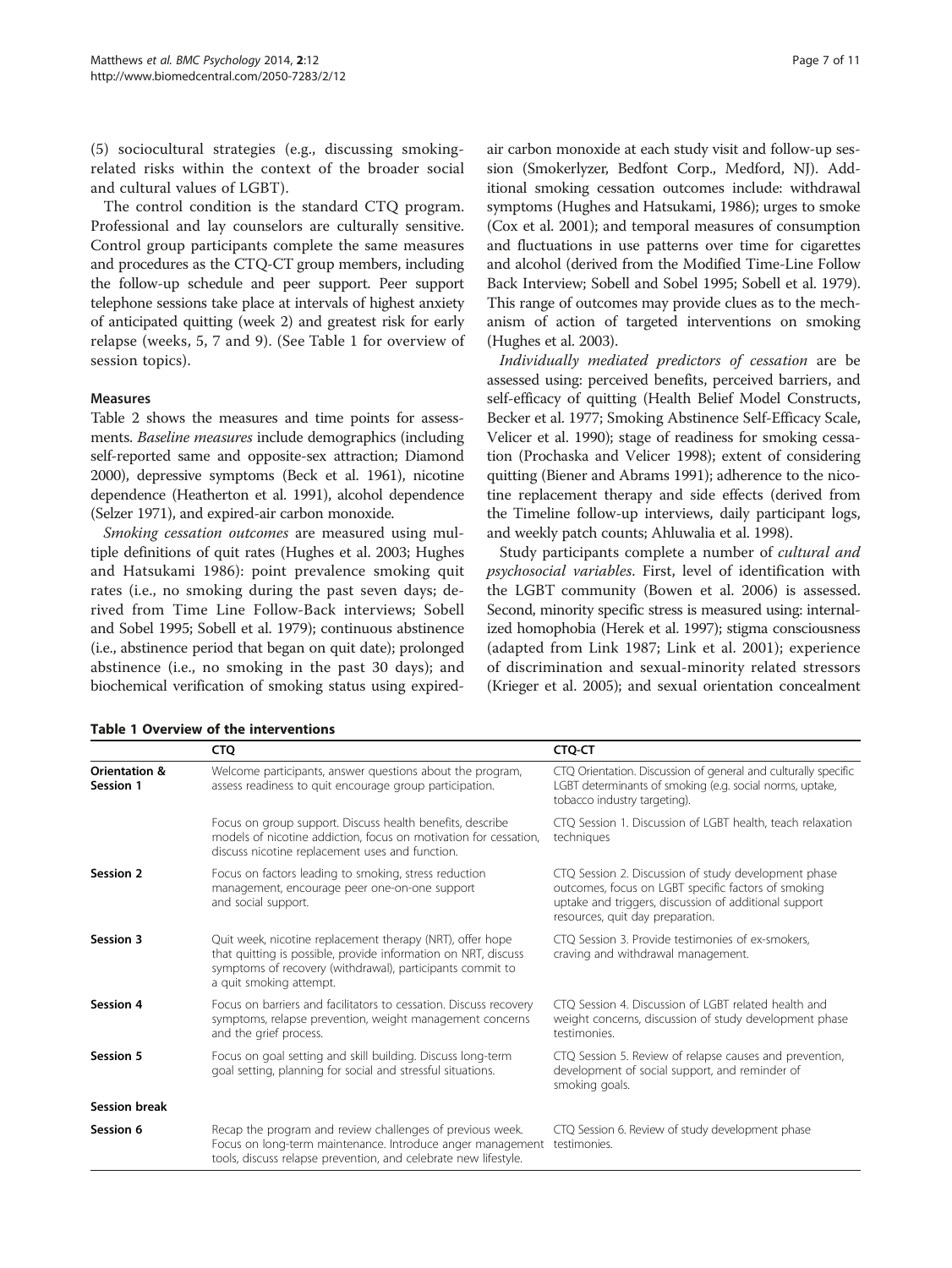(5) sociocultural strategies (e.g., discussing smokingrelated risks within the context of the broader social and cultural values of LGBT).

The control condition is the standard CTQ program. Professional and lay counselors are culturally sensitive. Control group participants complete the same measures and procedures as the CTQ-CT group members, including the follow-up schedule and peer support. Peer support telephone sessions take place at intervals of highest anxiety of anticipated quitting (week 2) and greatest risk for early relapse (weeks, 5, 7 and 9). (See Table 1 for overview of session topics).

#### Measures

Table [2](#page-7-0) shows the measures and time points for assessments. Baseline measures include demographics (including self-reported same and opposite-sex attraction; Diamond [2000\)](#page-9-0), depressive symptoms (Beck et al. [1961\)](#page-8-0), nicotine dependence (Heatherton et al. [1991](#page-9-0)), alcohol dependence (Selzer [1971\)](#page-9-0), and expired-air carbon monoxide.

Smoking cessation outcomes are measured using multiple definitions of quit rates (Hughes et al. [2003;](#page-9-0) Hughes and Hatsukami [1986](#page-9-0)): point prevalence smoking quit rates (i.e., no smoking during the past seven days; derived from Time Line Follow-Back interviews; Sobell and Sobel [1995;](#page-9-0) Sobell et al. [1979](#page-9-0)); continuous abstinence (i.e., abstinence period that began on quit date); prolonged abstinence (i.e., no smoking in the past 30 days); and biochemical verification of smoking status using expired-

air carbon monoxide at each study visit and follow-up session (Smokerlyzer, Bedfont Corp., Medford, NJ). Additional smoking cessation outcomes include: withdrawal symptoms (Hughes and Hatsukami, [1986\)](#page-9-0); urges to smoke (Cox et al. [2001](#page-9-0)); and temporal measures of consumption and fluctuations in use patterns over time for cigarettes and alcohol (derived from the Modified Time-Line Follow Back Interview; Sobell and Sobel [1995](#page-9-0); Sobell et al. [1979](#page-9-0)). This range of outcomes may provide clues as to the mechanism of action of targeted interventions on smoking (Hughes et al. [2003\)](#page-9-0).

Individually mediated predictors of cessation are be assessed using: perceived benefits, perceived barriers, and self-efficacy of quitting (Health Belief Model Constructs, Becker et al. [1977](#page-8-0); Smoking Abstinence Self-Efficacy Scale, Velicer et al. [1990\)](#page-10-0); stage of readiness for smoking cessation (Prochaska and Velicer [1998\)](#page-9-0); extent of considering quitting (Biener and Abrams [1991\)](#page-8-0); adherence to the nicotine replacement therapy and side effects (derived from the Timeline follow-up interviews, daily participant logs, and weekly patch counts; Ahluwalia et al. [1998](#page-8-0)).

Study participants complete a number of cultural and psychosocial variables. First, level of identification with the LGBT community (Bowen et al. [2006\)](#page-8-0) is assessed. Second, minority specific stress is measured using: internalized homophobia (Herek et al. [1997\)](#page-9-0); stigma consciousness (adapted from Link [1987](#page-9-0); Link et al. [2001\)](#page-9-0); experience of discrimination and sexual-minority related stressors (Krieger et al. [2005](#page-9-0)); and sexual orientation concealment

|                            | <b>CTO</b>                                                                                                                                                                                                          | CTQ-CT                                                                                                                                                                                                   |  |
|----------------------------|---------------------------------------------------------------------------------------------------------------------------------------------------------------------------------------------------------------------|----------------------------------------------------------------------------------------------------------------------------------------------------------------------------------------------------------|--|
| Orientation &<br>Session 1 | Welcome participants, answer questions about the program,<br>assess readiness to quit encourage group participation.                                                                                                | CTQ Orientation. Discussion of general and culturally specific<br>LGBT determinants of smoking (e.g. social norms, uptake,<br>tobacco industry targeting).                                               |  |
|                            | Focus on group support. Discuss health benefits, describe<br>models of nicotine addiction, focus on motivation for cessation,<br>discuss nicotine replacement uses and function.                                    | CTO Session 1. Discussion of LGBT health, teach relaxation<br>techniques                                                                                                                                 |  |
| Session 2                  | Focus on factors leading to smoking, stress reduction<br>management, encourage peer one-on-one support<br>and social support.                                                                                       | CTQ Session 2. Discussion of study development phase<br>outcomes, focus on LGBT specific factors of smoking<br>uptake and triggers, discussion of additional support<br>resources, quit day preparation. |  |
| Session 3                  | Quit week, nicotine replacement therapy (NRT), offer hope<br>that quitting is possible, provide information on NRT, discuss<br>symptoms of recovery (withdrawal), participants commit to<br>a quit smoking attempt. | CTO Session 3. Provide testimonies of ex-smokers.<br>craving and withdrawal management.                                                                                                                  |  |
| Session 4                  | Focus on barriers and facilitators to cessation. Discuss recovery<br>symptoms, relapse prevention, weight management concerns<br>and the grief process.                                                             | CTO Session 4. Discussion of LGBT related health and<br>weight concerns, discussion of study development phase<br>testimonies.                                                                           |  |
| Session 5                  | Focus on goal setting and skill building. Discuss long-term<br>goal setting, planning for social and stressful situations.                                                                                          | CTQ Session 5. Review of relapse causes and prevention,<br>development of social support, and reminder of<br>smoking goals.                                                                              |  |
| <b>Session break</b>       |                                                                                                                                                                                                                     |                                                                                                                                                                                                          |  |
| Session 6                  | Recap the program and review challenges of previous week.<br>Focus on long-term maintenance. Introduce anger management<br>tools, discuss relapse prevention, and celebrate new lifestyle.                          | CTQ Session 6. Review of study development phase<br>testimonies.                                                                                                                                         |  |

#### Table 1 Overview of the interventions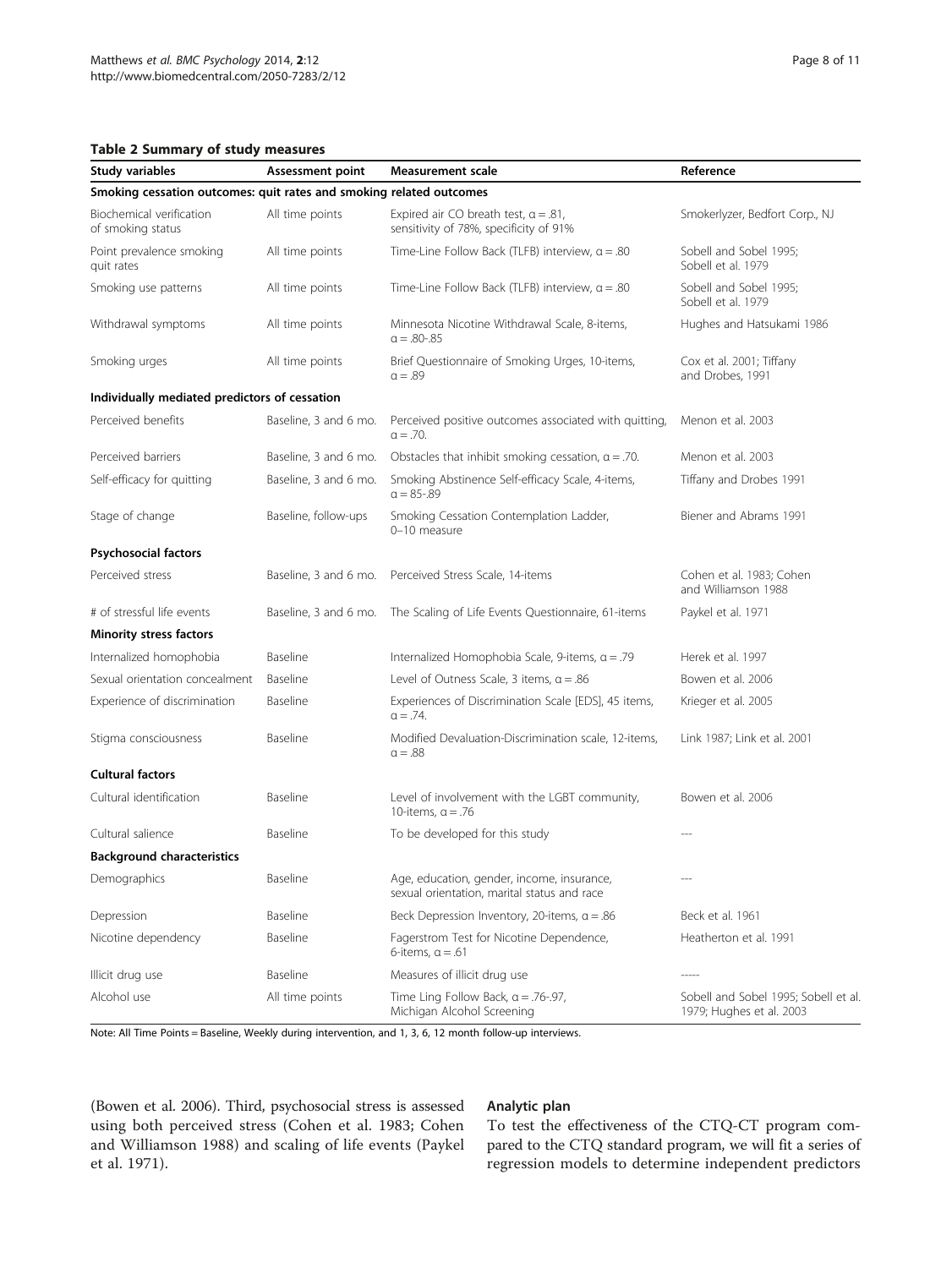#### <span id="page-7-0"></span>Table 2 Summary of study measures

| Study variables                                                     | <b>Assessment point</b> | <b>Measurement scale</b>                                                                  | Reference                                                       |
|---------------------------------------------------------------------|-------------------------|-------------------------------------------------------------------------------------------|-----------------------------------------------------------------|
| Smoking cessation outcomes: quit rates and smoking related outcomes |                         |                                                                                           |                                                                 |
| Biochemical verification<br>of smoking status                       | All time points         | Expired air CO breath test, $\alpha = .81$ ,<br>sensitivity of 78%, specificity of 91%    | Smokerlyzer, Bedfort Corp., NJ                                  |
| Point prevalence smoking<br>quit rates                              | All time points         | Time-Line Follow Back (TLFB) interview, $\alpha = .80$                                    | Sobell and Sobel 1995;<br>Sobell et al. 1979                    |
| Smoking use patterns                                                | All time points         | Time-Line Follow Back (TLFB) interview, $\alpha = .80$                                    | Sobell and Sobel 1995;<br>Sobell et al. 1979                    |
| Withdrawal symptoms                                                 | All time points         | Minnesota Nicotine Withdrawal Scale, 8-items,<br>$\alpha = .80 - .85$                     | Hughes and Hatsukami 1986                                       |
| Smoking urges                                                       | All time points         | Brief Questionnaire of Smoking Urges, 10-items,<br>$\alpha = .89$                         | Cox et al. 2001; Tiffany<br>and Drobes, 1991                    |
| Individually mediated predictors of cessation                       |                         |                                                                                           |                                                                 |
| Perceived benefits                                                  | Baseline, 3 and 6 mo.   | Perceived positive outcomes associated with quitting,<br>$\alpha = .70$ .                 | Menon et al. 2003                                               |
| Perceived barriers                                                  | Baseline, 3 and 6 mo.   | Obstacles that inhibit smoking cessation, $\alpha = .70$ .                                | Menon et al. 2003                                               |
| Self-efficacy for quitting                                          | Baseline, 3 and 6 mo.   | Smoking Abstinence Self-efficacy Scale, 4-items,<br>$a = 85 - 89$                         | Tiffany and Drobes 1991                                         |
| Stage of change                                                     | Baseline, follow-ups    | Smoking Cessation Contemplation Ladder,<br>0-10 measure                                   | Biener and Abrams 1991                                          |
| <b>Psychosocial factors</b>                                         |                         |                                                                                           |                                                                 |
| Perceived stress                                                    | Baseline, 3 and 6 mo.   | Perceived Stress Scale, 14-items                                                          | Cohen et al. 1983; Cohen<br>and Williamson 1988                 |
| # of stressful life events                                          | Baseline, 3 and 6 mo.   | The Scaling of Life Events Questionnaire, 61-items                                        | Paykel et al. 1971                                              |
| <b>Minority stress factors</b>                                      |                         |                                                                                           |                                                                 |
| Internalized homophobia                                             | Baseline                | Internalized Homophobia Scale, 9-items, $\alpha = .79$                                    | Herek et al. 1997                                               |
| Sexual orientation concealment                                      | Baseline                | Level of Outness Scale, 3 items, $\alpha = .86$                                           | Bowen et al. 2006                                               |
| Experience of discrimination                                        | Baseline                | Experiences of Discrimination Scale [EDS], 45 items,<br>$a = .74$ .                       | Krieger et al. 2005                                             |
| Stigma consciousness                                                | Baseline                | Modified Devaluation-Discrimination scale, 12-items,<br>$\alpha = .88$                    | Link 1987; Link et al. 2001                                     |
| <b>Cultural factors</b>                                             |                         |                                                                                           |                                                                 |
| Cultural identification                                             | Baseline                | Level of involvement with the LGBT community,<br>10-items, $\alpha = .76$                 | Bowen et al. 2006                                               |
| Cultural salience                                                   | Baseline                | To be developed for this study                                                            |                                                                 |
| <b>Background characteristics</b>                                   |                         |                                                                                           |                                                                 |
| Demographics                                                        | Baseline                | Age, education, gender, income, insurance,<br>sexual orientation, marital status and race | ---                                                             |
| Depression                                                          | Baseline                | Beck Depression Inventory, 20-items, $\alpha = .86$                                       | Beck et al. 1961                                                |
| Nicotine dependency                                                 | Baseline                | Fagerstrom Test for Nicotine Dependence,<br>6-items, $\alpha$ = .61                       | Heatherton et al. 1991                                          |
| Illicit drug use                                                    | Baseline                | Measures of illicit drug use                                                              | $- - - - -$                                                     |
| Alcohol use                                                         | All time points         | Time Ling Follow Back, $\alpha = .76-.97$ ,<br>Michigan Alcohol Screening                 | Sobell and Sobel 1995; Sobell et al<br>1979; Hughes et al. 2003 |

Note: All Time Points = Baseline, Weekly during intervention, and 1, 3, 6, 12 month follow-up interviews.

(Bowen et al. [2006\)](#page-8-0). Third, psychosocial stress is assessed using both perceived stress (Cohen et al. [1983;](#page-9-0) Cohen and Williamson [1988\)](#page-9-0) and scaling of life events (Paykel et al. [1971\)](#page-9-0).

#### Analytic plan

To test the effectiveness of the CTQ-CT program compared to the CTQ standard program, we will fit a series of regression models to determine independent predictors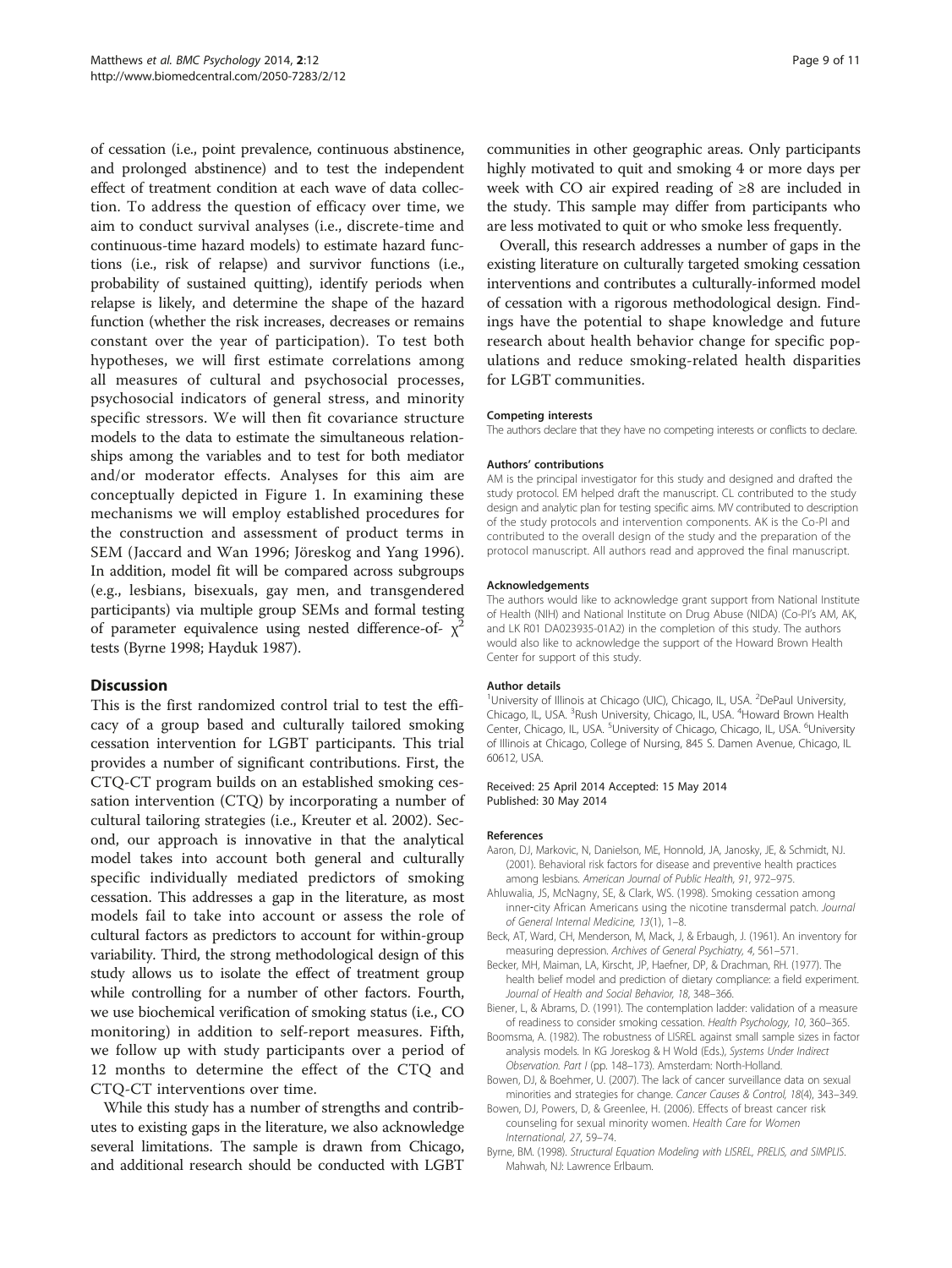<span id="page-8-0"></span>of cessation (i.e., point prevalence, continuous abstinence, and prolonged abstinence) and to test the independent effect of treatment condition at each wave of data collection. To address the question of efficacy over time, we aim to conduct survival analyses (i.e., discrete-time and continuous-time hazard models) to estimate hazard functions (i.e., risk of relapse) and survivor functions (i.e., probability of sustained quitting), identify periods when relapse is likely, and determine the shape of the hazard function (whether the risk increases, decreases or remains constant over the year of participation). To test both hypotheses, we will first estimate correlations among all measures of cultural and psychosocial processes, psychosocial indicators of general stress, and minority specific stressors. We will then fit covariance structure models to the data to estimate the simultaneous relationships among the variables and to test for both mediator and/or moderator effects. Analyses for this aim are conceptually depicted in Figure [1.](#page-2-0) In examining these mechanisms we will employ established procedures for the construction and assessment of product terms in SEM (Jaccard and Wan [1996;](#page-9-0) Jöreskog and Yang [1996](#page-9-0)). In addition, model fit will be compared across subgroups (e.g., lesbians, bisexuals, gay men, and transgendered participants) via multiple group SEMs and formal testing of parameter equivalence using nested difference-of-  $\chi^2$ tests (Byrne 1998; Hayduk [1987](#page-9-0)).

#### **Discussion**

This is the first randomized control trial to test the efficacy of a group based and culturally tailored smoking cessation intervention for LGBT participants. This trial provides a number of significant contributions. First, the CTQ-CT program builds on an established smoking cessation intervention (CTQ) by incorporating a number of cultural tailoring strategies (i.e., Kreuter et al. [2002\)](#page-9-0). Second, our approach is innovative in that the analytical model takes into account both general and culturally specific individually mediated predictors of smoking cessation. This addresses a gap in the literature, as most models fail to take into account or assess the role of cultural factors as predictors to account for within-group variability. Third, the strong methodological design of this study allows us to isolate the effect of treatment group while controlling for a number of other factors. Fourth, we use biochemical verification of smoking status (i.e., CO monitoring) in addition to self-report measures. Fifth, we follow up with study participants over a period of 12 months to determine the effect of the CTQ and CTQ-CT interventions over time.

While this study has a number of strengths and contributes to existing gaps in the literature, we also acknowledge several limitations. The sample is drawn from Chicago, and additional research should be conducted with LGBT communities in other geographic areas. Only participants highly motivated to quit and smoking 4 or more days per week with CO air expired reading of ≥8 are included in the study. This sample may differ from participants who are less motivated to quit or who smoke less frequently.

Overall, this research addresses a number of gaps in the existing literature on culturally targeted smoking cessation interventions and contributes a culturally-informed model of cessation with a rigorous methodological design. Findings have the potential to shape knowledge and future research about health behavior change for specific populations and reduce smoking-related health disparities for LGBT communities.

#### Competing interests

The authors declare that they have no competing interests or conflicts to declare.

#### Authors' contributions

AM is the principal investigator for this study and designed and drafted the study protocol. EM helped draft the manuscript. CL contributed to the study design and analytic plan for testing specific aims. MV contributed to description of the study protocols and intervention components. AK is the Co-PI and contributed to the overall design of the study and the preparation of the protocol manuscript. All authors read and approved the final manuscript.

#### Acknowledgements

The authors would like to acknowledge grant support from National Institute of Health (NIH) and National Institute on Drug Abuse (NIDA) (Co-PI's AM, AK, and LK R01 DA023935-01A2) in the completion of this study. The authors would also like to acknowledge the support of the Howard Brown Health Center for support of this study.

#### Author details

<sup>1</sup> University of Illinois at Chicago (UIC), Chicago, IL, USA. <sup>2</sup> DePaul University, Chicago, IL, USA. <sup>3</sup>Rush University, Chicago, IL, USA. <sup>4</sup>Howard Brown Health Center, Chicago, IL, USA. <sup>5</sup>University of Chicago, Chicago, IL, USA. <sup>6</sup>University of Illinois at Chicago, College of Nursing, 845 S. Damen Avenue, Chicago, IL 60612, USA.

#### Received: 25 April 2014 Accepted: 15 May 2014 Published: 30 May 2014

#### References

- Aaron, DJ, Markovic, N, Danielson, ME, Honnold, JA, Janosky, JE, & Schmidt, NJ. (2001). Behavioral risk factors for disease and preventive health practices among lesbians. American Journal of Public Health, 91, 972–975.
- Ahluwalia, JS, McNagny, SE, & Clark, WS. (1998). Smoking cessation among inner-city African Americans using the nicotine transdermal patch. Journal of General Internal Medicine, 13(1), 1–8.
- Beck, AT, Ward, CH, Menderson, M, Mack, J, & Erbaugh, J. (1961). An inventory for measuring depression. Archives of General Psychiatry, 4, 561–571.
- Becker, MH, Maiman, LA, Kirscht, JP, Haefner, DP, & Drachman, RH. (1977). The health belief model and prediction of dietary compliance: a field experiment. Journal of Health and Social Behavior, 18, 348–366.
- Biener, L, & Abrams, D. (1991). The contemplation ladder: validation of a measure of readiness to consider smoking cessation. Health Psychology, 10, 360–365.
- Boomsma, A. (1982). The robustness of LISREL against small sample sizes in factor analysis models. In KG Joreskog & H Wold (Eds.), Systems Under Indirect Observation. Part I (pp. 148–173). Amsterdam: North-Holland.
- Bowen, DJ, & Boehmer, U. (2007). The lack of cancer surveillance data on sexual minorities and strategies for change. Cancer Causes & Control, 18(4), 343–349.
- Bowen, DJ, Powers, D, & Greenlee, H. (2006). Effects of breast cancer risk counseling for sexual minority women. Health Care for Women International, 27, 59–74.
- Byrne, BM. (1998). Structural Equation Modeling with LISREL, PRELIS, and SIMPLIS. Mahwah, NJ: Lawrence Erlbaum.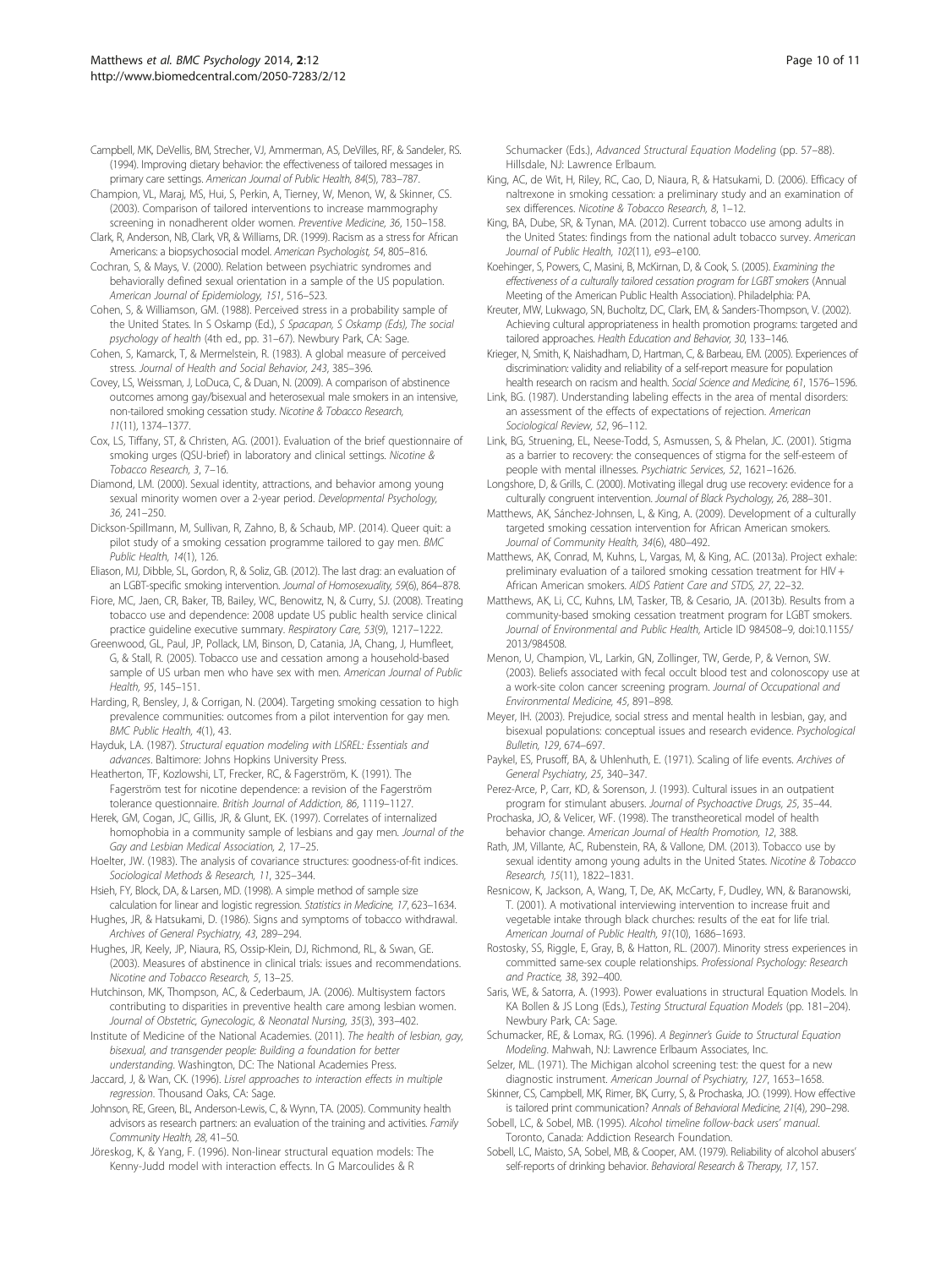<span id="page-9-0"></span>Campbell, MK, DeVellis, BM, Strecher, VJ, Ammerman, AS, DeVilles, RF, & Sandeler, RS. (1994). Improving dietary behavior: the effectiveness of tailored messages in primary care settings. American Journal of Public Health, 84(5), 783–787.

Champion, VL, Maraj, MS, Hui, S, Perkin, A, Tierney, W, Menon, W, & Skinner, CS. (2003). Comparison of tailored interventions to increase mammography screening in nonadherent older women. Preventive Medicine, 36, 150–158.

Clark, R, Anderson, NB, Clark, VR, & Williams, DR. (1999). Racism as a stress for African Americans: a biopsychosocial model. American Psychologist, 54, 805–816.

Cochran, S, & Mays, V. (2000). Relation between psychiatric syndromes and behaviorally defined sexual orientation in a sample of the US population. American Journal of Epidemiology, 151, 516–523.

Cohen, S, & Williamson, GM. (1988). Perceived stress in a probability sample of the United States. In S Oskamp (Ed.), S Spacapan, S Oskamp (Eds), The social psychology of health (4th ed., pp. 31–67). Newbury Park, CA: Sage.

Cohen, S, Kamarck, T, & Mermelstein, R. (1983). A global measure of perceived stress. Journal of Health and Social Behavior, 243, 385–396.

Covey, LS, Weissman, J, LoDuca, C, & Duan, N. (2009). A comparison of abstinence outcomes among gay/bisexual and heterosexual male smokers in an intensive, non-tailored smoking cessation study. Nicotine & Tobacco Research, 11(11), 1374–1377.

Cox, LS, Tiffany, ST, & Christen, AG. (2001). Evaluation of the brief questionnaire of smoking urges (QSU-brief) in laboratory and clinical settings. Nicotine & Tobacco Research, 3, 7–16.

Diamond, LM. (2000). Sexual identity, attractions, and behavior among young sexual minority women over a 2-year period. Developmental Psychology, 36, 241–250.

Dickson-Spillmann, M, Sullivan, R, Zahno, B, & Schaub, MP. (2014). Queer quit: a pilot study of a smoking cessation programme tailored to gay men. BMC Public Health, 14(1), 126.

Eliason, MJ, Dibble, SL, Gordon, R, & Soliz, GB. (2012). The last drag: an evaluation of an LGBT-specific smoking intervention. Journal of Homosexuality, 59(6), 864–878.

Fiore, MC, Jaen, CR, Baker, TB, Bailey, WC, Benowitz, N, & Curry, SJ. (2008). Treating tobacco use and dependence: 2008 update US public health service clinical practice guideline executive summary. Respiratory Care, 53(9), 1217–1222.

Greenwood, GL, Paul, JP, Pollack, LM, Binson, D, Catania, JA, Chang, J, Humfleet, G, & Stall, R. (2005). Tobacco use and cessation among a household-based sample of US urban men who have sex with men. American Journal of Public Health, 95, 145–151.

Harding, R, Bensley, J, & Corrigan, N. (2004). Targeting smoking cessation to high prevalence communities: outcomes from a pilot intervention for gay men. BMC Public Health, 4(1), 43.

Hayduk, LA. (1987). Structural equation modeling with LISREL: Essentials and advances. Baltimore: Johns Hopkins University Press.

Heatherton, TF, Kozlowshi, LT, Frecker, RC, & Fagerström, K. (1991). The Fagerström test for nicotine dependence: a revision of the Fagerström tolerance questionnaire. British Journal of Addiction, 86, 1119–1127.

Herek, GM, Cogan, JC, Gillis, JR, & Glunt, EK. (1997). Correlates of internalized homophobia in a community sample of lesbians and gay men. Journal of the Gay and Lesbian Medical Association, 2, 17–25.

Hoelter, JW. (1983). The analysis of covariance structures: goodness-of-fit indices. Sociological Methods & Research, 11, 325–344.

Hsieh, FY, Block, DA, & Larsen, MD. (1998). A simple method of sample size

calculation for linear and logistic regression. Statistics in Medicine, 17, 623–1634. Hughes, JR, & Hatsukami, D. (1986). Signs and symptoms of tobacco withdrawal. Archives of General Psychiatry, 43, 289–294.

Hughes, JR, Keely, JP, Niaura, RS, Ossip-Klein, DJ, Richmond, RL, & Swan, GE. (2003). Measures of abstinence in clinical trials: issues and recommendations. Nicotine and Tobacco Research, 5, 13–25.

Hutchinson, MK, Thompson, AC, & Cederbaum, JA. (2006). Multisystem factors contributing to disparities in preventive health care among lesbian women. Journal of Obstetric, Gynecologic, & Neonatal Nursing, 35(3), 393–402.

Institute of Medicine of the National Academies. (2011). The health of lesbian, gay, bisexual, and transgender people: Building a foundation for better understanding. Washington, DC: The National Academies Press.

Jaccard, J, & Wan, CK. (1996). Lisrel approaches to interaction effects in multiple regression. Thousand Oaks, CA: Sage.

Johnson, RE, Green, BL, Anderson-Lewis, C, & Wynn, TA. (2005). Community health advisors as research partners: an evaluation of the training and activities. Family Community Health, 28, 41–50.

Jöreskog, K, & Yang, F. (1996). Non-linear structural equation models: The Kenny-Judd model with interaction effects. In G Marcoulides & R

Schumacker (Eds.), Advanced Structural Equation Modeling (pp. 57–88). Hillsdale, NJ: Lawrence Erlbaum.

- King, AC, de Wit, H, Riley, RC, Cao, D, Niaura, R, & Hatsukami, D. (2006). Efficacy of naltrexone in smoking cessation: a preliminary study and an examination of sex differences. Nicotine & Tobacco Research, 8, 1–12.
- King, BA, Dube, SR, & Tynan, MA. (2012). Current tobacco use among adults in the United States: findings from the national adult tobacco survey. American Journal of Public Health, 102(11), e93–e100.

Koehinger, S, Powers, C, Masini, B, McKirnan, D, & Cook, S. (2005). Examining the effectiveness of a culturally tailored cessation program for LGBT smokers (Annual Meeting of the American Public Health Association). Philadelphia: PA.

Kreuter, MW, Lukwago, SN, Bucholtz, DC, Clark, EM, & Sanders-Thompson, V. (2002). Achieving cultural appropriateness in health promotion programs: targeted and tailored approaches. Health Education and Behavior, 30, 133–146.

Krieger, N, Smith, K, Naishadham, D, Hartman, C, & Barbeau, EM. (2005). Experiences of discrimination: validity and reliability of a self-report measure for population health research on racism and health. Social Science and Medicine, 61, 1576–1596.

Link, BG. (1987). Understanding labeling effects in the area of mental disorders: an assessment of the effects of expectations of rejection. American Sociological Review, 52, 96–112.

Link, BG, Struening, EL, Neese-Todd, S, Asmussen, S, & Phelan, JC. (2001). Stigma as a barrier to recovery: the consequences of stigma for the self-esteem of people with mental illnesses. Psychiatric Services, 52, 1621–1626.

Longshore, D, & Grills, C. (2000). Motivating illegal drug use recovery: evidence for a culturally congruent intervention. Journal of Black Psychology, 26, 288–301.

Matthews, AK, Sánchez-Johnsen, L, & King, A. (2009). Development of a culturally targeted smoking cessation intervention for African American smokers. Journal of Community Health, 34(6), 480–492.

Matthews, AK, Conrad, M, Kuhns, L, Vargas, M, & King, AC. (2013a). Project exhale: preliminary evaluation of a tailored smoking cessation treatment for HIV + African American smokers. AIDS Patient Care and STDS, 27, 22–32.

Matthews, AK, Li, CC, Kuhns, LM, Tasker, TB, & Cesario, JA. (2013b). Results from a community-based smoking cessation treatment program for LGBT smokers. Journal of Environmental and Public Health, Article ID 984508–9, doi:10.1155/ 2013/984508.

Menon, U, Champion, VL, Larkin, GN, Zollinger, TW, Gerde, P, & Vernon, SW. (2003). Beliefs associated with fecal occult blood test and colonoscopy use at a work-site colon cancer screening program. Journal of Occupational and Environmental Medicine, 45, 891–898.

Meyer, IH. (2003). Prejudice, social stress and mental health in lesbian, gay, and bisexual populations: conceptual issues and research evidence. Psychological Bulletin, 129, 674–697.

Paykel, ES, Prusoff, BA, & Uhlenhuth, E. (1971). Scaling of life events. Archives of General Psychiatry, 25, 340–347.

Perez-Arce, P, Carr, KD, & Sorenson, J. (1993). Cultural issues in an outpatient program for stimulant abusers. Journal of Psychoactive Drugs, 25, 35–44.

Prochaska, JO, & Velicer, WF. (1998). The transtheoretical model of health behavior change. American Journal of Health Promotion, 12, 388.

Rath, JM, Villante, AC, Rubenstein, RA, & Vallone, DM. (2013). Tobacco use by sexual identity among young adults in the United States. Nicotine & Tobacco Research, 15(11), 1822–1831.

Resnicow, K, Jackson, A, Wang, T, De, AK, McCarty, F, Dudley, WN, & Baranowski, T. (2001). A motivational interviewing intervention to increase fruit and vegetable intake through black churches: results of the eat for life trial. American Journal of Public Health, 91(10), 1686–1693.

Rostosky, SS, Riggle, E, Gray, B, & Hatton, RL. (2007). Minority stress experiences in committed same-sex couple relationships. Professional Psychology: Research and Practice, 38, 392–400.

Saris, WE, & Satorra, A. (1993). Power evaluations in structural Equation Models. In KA Bollen & JS Long (Eds.), Testing Structural Equation Models (pp. 181-204). Newbury Park, CA: Sage.

Schumacker, RE, & Lomax, RG. (1996). A Beginner's Guide to Structural Equation Modeling. Mahwah, NJ: Lawrence Erlbaum Associates, Inc.

Selzer, ML. (1971). The Michigan alcohol screening test: the quest for a new diagnostic instrument. American Journal of Psychiatry, 127, 1653–1658.

Skinner, CS, Campbell, MK, Rimer, BK, Curry, S, & Prochaska, JO. (1999). How effective is tailored print communication? Annals of Behavioral Medicine, 21(4), 290–298.

Sobell, LC, & Sobel, MB. (1995). Alcohol timeline follow-back users' manual. Toronto, Canada: Addiction Research Foundation.

Sobell, LC, Maisto, SA, Sobel, MB, & Cooper, AM. (1979). Reliability of alcohol abusers' self-reports of drinking behavior. Behavioral Research & Therapy, 17, 157.